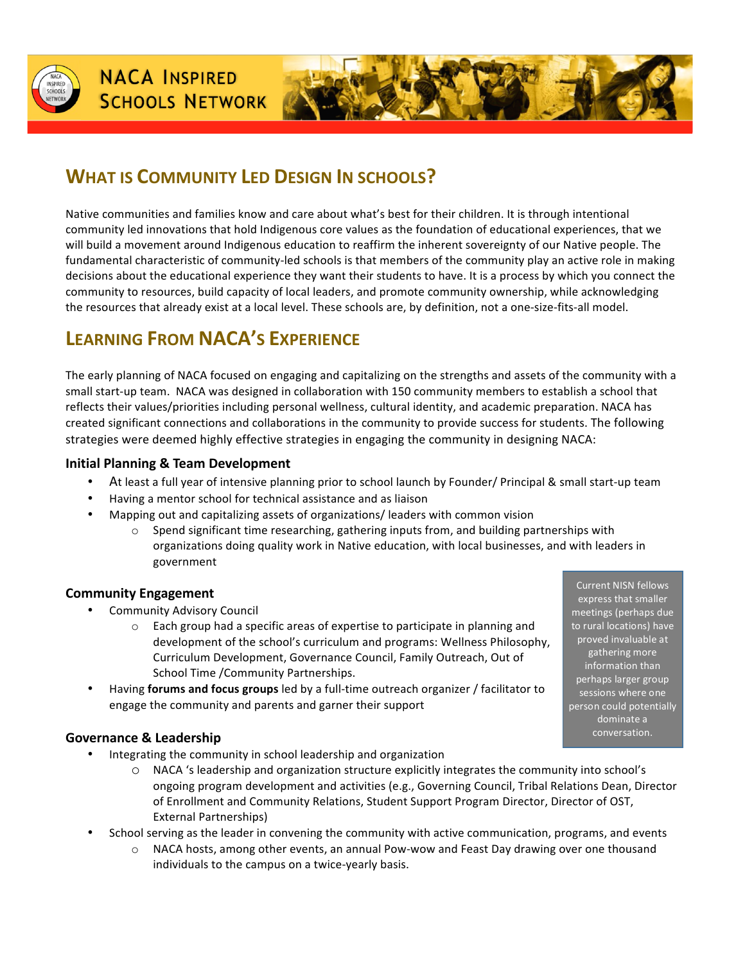

# **WHAT IS COMMUNITY LED DESIGN IN SCHOOLS?**

Native communities and families know and care about what's best for their children. It is through intentional community led innovations that hold Indigenous core values as the foundation of educational experiences, that we will build a movement around Indigenous education to reaffirm the inherent sovereignty of our Native people. The fundamental characteristic of community-led schools is that members of the community play an active role in making decisions about the educational experience they want their students to have. It is a process by which you connect the community to resources, build capacity of local leaders, and promote community ownership, while acknowledging the resources that already exist at a local level. These schools are, by definition, not a one-size-fits-all model.

# LEARNING FROM **NACA'S** EXPERIENCE

The early planning of NACA focused on engaging and capitalizing on the strengths and assets of the community with a small start-up team. NACA was designed in collaboration with 150 community members to establish a school that reflects their values/priorities including personal wellness, cultural identity, and academic preparation. NACA has created significant connections and collaborations in the community to provide success for students. The following strategies were deemed highly effective strategies in engaging the community in designing NACA:

#### **Initial Planning & Team Development**

- At least a full year of intensive planning prior to school launch by Founder/ Principal & small start-up team
- Having a mentor school for technical assistance and as liaison
	- Mapping out and capitalizing assets of organizations/ leaders with common vision
		- $\circ$  Spend significant time researching, gathering inputs from, and building partnerships with organizations doing quality work in Native education, with local businesses, and with leaders in government

### **Community Engagement**

- Community Advisory Council
	- $\circ$  Each group had a specific areas of expertise to participate in planning and development of the school's curriculum and programs: Wellness Philosophy, Curriculum Development, Governance Council, Family Outreach, Out of School Time /Community Partnerships.
- Having **forums and focus groups** led by a full-time outreach organizer / facilitator to engage the community and parents and garner their support

### **Governance & Leadership**

- Integrating the community in school leadership and organization
	- $\circ$  NACA 's leadership and organization structure explicitly integrates the community into school's ongoing program development and activities (e.g., Governing Council, Tribal Relations Dean, Director of Enrollment and Community Relations, Student Support Program Director, Director of OST, External Partnerships)
- School serving as the leader in convening the community with active communication, programs, and events
	- $\circ$  NACA hosts, among other events, an annual Pow-wow and Feast Day drawing over one thousand individuals to the campus on a twice-yearly basis.

**Current NISN fellows** express that smaller meetings (perhaps due to rural locations) have proved invaluable at gathering more information than perhaps larger group essions where one person could potentially dominate a conversation.